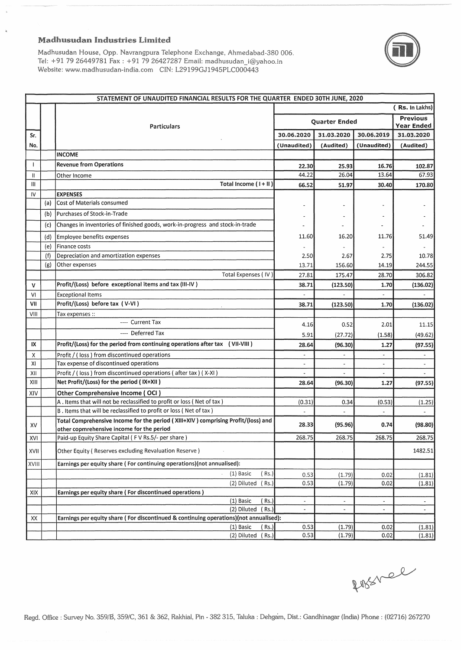## **Madhusudan Industries Limited**

 $\bar{\bf k}$ 



Madhusudan House, Opp. Navrangpura Telephone Exchange, Ahmedabad-380 006. Tel: +91 79 26449781 Fax : +91 79 26427287 Email: Website: www.madhusudan-india.com CIN: L29199GJ1945PLC000443

|                |     | STATEMENT OF UNAUDITED FINANCIAL RESULTS FOR THE QUARTER ENDED 30TH JUNE, 2020                                                 |                          |            |               |                               |
|----------------|-----|--------------------------------------------------------------------------------------------------------------------------------|--------------------------|------------|---------------|-------------------------------|
|                |     |                                                                                                                                |                          |            |               | (Rs. In Lakhs)                |
|                |     | <b>Particulars</b>                                                                                                             | Quarter Ended            |            |               | <b>Previous</b><br>Year Ended |
| Sr.            |     |                                                                                                                                | 30.06.2020               | 31.03.2020 | 30.06.2019    | 31.03.2020                    |
| No.            |     |                                                                                                                                | (Unaudited)              | (Audited)  | (Unaudited)   | (Audited)                     |
|                |     | <b>INCOME</b>                                                                                                                  |                          |            |               |                               |
|                |     | <b>Revenue from Operations</b>                                                                                                 | 22.30                    | 25.93      | 16.76         | 102.87                        |
| $\mathbf{H}$   |     | Other Income                                                                                                                   | 44.22                    | 26.04      | 13.64         | 67.93                         |
| Ш              |     | Total Income (I+II)                                                                                                            | 66.52                    | 51.97      | 30.40         | 170.80                        |
| IV             |     | <b>EXPENSES</b>                                                                                                                |                          |            |               |                               |
|                | (a) | Cost of Materials consumed                                                                                                     |                          | ٠          |               |                               |
|                | (b) | Purchases of Stock-in-Trade                                                                                                    |                          |            |               |                               |
|                | (c) | Changes in inventories of finished goods, work-in-progress and stock-in-trade                                                  |                          |            |               |                               |
|                |     |                                                                                                                                |                          |            |               |                               |
|                | (d) | Employee benefits expenses                                                                                                     | 11.60                    | 16.20      | 11.76         | 51.49                         |
|                | (e) | Finance costs                                                                                                                  |                          |            |               |                               |
|                | (f) | Depreciation and amortization expenses                                                                                         | 2.50                     | 2.67       | 2.75          | 10.78                         |
|                | (g) | Other expenses                                                                                                                 | 13.71                    | 156.60     | 14.19         | 244.55                        |
|                |     | Total Expenses (IV)                                                                                                            | 27.81                    | 175.47     | 28.70         | 306.82                        |
| $\mathbf v$    |     | Profit/(Loss) before exceptional items and tax (III-IV)                                                                        | 38.71                    | (123.50)   | 1.70          | (136.02)                      |
| V <sub>l</sub> |     | <b>Exceptional Items</b>                                                                                                       |                          |            |               |                               |
| VII            |     | Profit/(Loss) before tax (V-VI)                                                                                                | 38.71                    | (123.50)   | 1.70          | (136.02)                      |
| VIII           |     | Tax expenses ::                                                                                                                |                          |            |               |                               |
|                |     | ---- Current Tax                                                                                                               | 4.16                     | 0.52       | 2.01          | 11.15                         |
|                |     | ---- Deferred Tax                                                                                                              | 5.91                     | (27.72)    | (1.58)        | (49.62)                       |
| IX             |     | Profit/(Loss) for the period from continuing operations after tax (VII-VIII)                                                   | 28.64                    | (96.30)    | 1.27          | (97.55)                       |
| χ              |     | Profit / (loss) from discontinued operations                                                                                   | $\blacksquare$           |            |               | $\blacksquare$                |
| XI             |     | Tax expense of discontinued operations                                                                                         |                          |            |               |                               |
| XII            |     | Profit / (loss) from discontinued operations (after tax) (X-XI)                                                                |                          |            |               |                               |
| XIII           |     | Net Profit/(Loss) for the period (IX+XII)                                                                                      | 28.64                    | (96.30)    | 1.27          | (97.55)                       |
| XIV            |     | Other Comprehensive Income (OCI)                                                                                               |                          |            |               |                               |
|                |     | A. Items that will not be reclassified to profit or loss (Net of tax)                                                          | (0.31)                   | 0.34       | (0.53)        | (1.25)                        |
|                |     | B. Items that will be reclassified to profit or loss (Net of tax)                                                              |                          |            |               |                               |
| XV             |     | Total Comprehensive Income for the period (XIII+XIV) comprising Profit/(loss) and<br>other copmrehensive income for the period | 28.33                    | (95.96)    | 0.74          | (98.80)                       |
| XVI            |     | Paid-up Equity Share Capital (FV Rs.5/- per share)                                                                             | 268.75                   | 268.75     | 268.75        | 268.75                        |
| XVII           |     | Other Equity (Reserves excluding Revaluation Reserve)                                                                          |                          |            |               | 1482.51                       |
| XVIII          |     | Earnings per equity share (For continuing operations)(not annualised):                                                         |                          |            |               |                               |
|                |     | $(1)$ Basic<br>( Rs.)                                                                                                          | 0.53                     | (1.79)     | 0.02          | (1.81)                        |
|                |     | (2) Diluted<br>(Rs.)                                                                                                           | 0.53                     | (1.79)     | 0.02          | (1.81)                        |
| XIX            |     | Earnings per equity share (For discontinued operations)                                                                        |                          |            |               |                               |
|                |     | (1) Basic<br>(Rs.)                                                                                                             | $\overline{\phantom{a}}$ |            | $\frac{1}{2}$ | $\sim$                        |
|                |     | (2) Diluted (Rs.)                                                                                                              | $\overline{\phantom{a}}$ |            | $\frac{1}{2}$ | $\blacksquare$                |
| XX             |     | Earnings per equity share (For discontinued & continuing operations)(not annualised):                                          |                          |            |               |                               |
|                |     | $(1)$ Basic<br>$Rs.$ )                                                                                                         | 0.53                     | (1.79)     | 0.02          | (1.81)                        |
|                |     | (2) Diluted (Rs.)                                                                                                              | 0.53                     | (1.79)     | 0.02          | (1.81)                        |

fossiel

Regd. Office : Survey No. 359/B, 359/C, 361 & 362, Rakhial, Pin - 382 315, Taluka : Dehgam, Dist.: Gandhinagar (India) Phone : (02716) 267270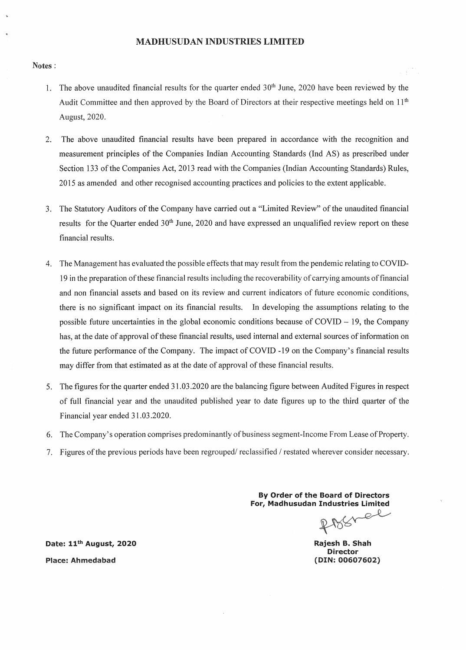## MADHUSUDAN INDUSTRIES LIMITED

#### Notes:

- 1. The above unaudited financial results for the quarter ended  $30<sup>th</sup>$  June, 2020 have been reviewed by the Audit Committee and then approved by the Board of Directors at their respective meetings held on  $11<sup>th</sup>$ August, 2020.
- 2. The above unaudited financial results have been prepared in accordance with the recognition and measurement principles of the Companies Indian Accounting Standards (Ind AS) as prescribed under Section 133 of the Companies Act, 2013 read with the Companies (Indian Accounting Standards) Rules, 2015 as amended and other recognised accounting practices and policies to the extent applicable.
- 3. The Statutory Auditors of the Company have carried out a "Limited Review" of the unaudited financial results for the Quarter ended 30<sup>th</sup> June, 2020 and have expressed an unqualified review report on these financial results.
- 4. The Management has evaluated the possible effects that may result from the pendemic relating to COVID-19 in the preparation of these financial results including the recoverability of carrying amounts of financial and non financial assets and based on its review and current indicators of future economic conditions, there is no significant impact on its financial results. In developing the assumptions relating to the possible future uncertainties in the global economic conditions because of  $COVID - 19$ , the Company has, at the date of approval of these financial results, used internal and external sources of information on the future performance of the Company. The impact of COVID -19 on the Company's financial results may differ from that estimated as at the date of approval of these financial results.
- 5. The figures for the quarter ended 31.03.2020 are the balancing figure between Audited Figures in respect of full financial year and the unaudited published year to date figures up to the third quarter of the Financial year ended 31.03.2020.
- 6. The Company's operation comprises predominantly of business segment-Income From Lease of Property.
- 7. Figures of the previous periods have been regrouped/ reclassified / restated wherever consider necessary.

By Order of the Board of Directors For, Madhusudan Industries limited

₽ D ∜ঠ∽

Rajesh B. Shah Director (DIN:00607602)

Date: 11<sup>th</sup> August, 2020 Place: Ahmedabad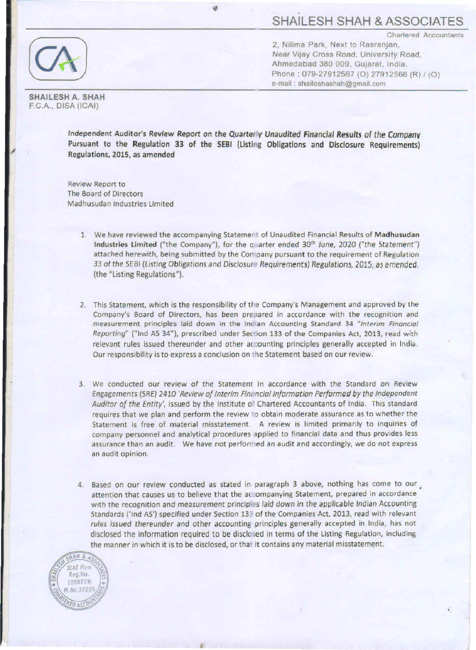Chartered Accountants

SHAILESH A. SHAH F.C.A., DISA (ICAI)

2, Nilima Park, Next to Rasranjan, Near Vijay Cross Road. University Road Ahmedabad 380 009, Gujarat, India. Phone: 079-27912567 (O) 27912566 (R) / (O) e-mail : shaileshashah@gmail.com

Independent Auditor's Review Report on the Quarter *v* Unaudited Financial Results of the Company Pursuant to the Regulation 33 of the SEBI (Listing Obligations and Disclosure Requirements) Regulations, 2015, as amended

Review Report to The Board of Directors Madhusudan Industries Limited

- 1. We have reviewed the accompanying Statement of Unaudited Financial Results of Madhusudan Industries Limited ("the Company"), for the quarter ended 30<sup>th</sup> June, 2020 ("the Statement") attached herewith, being submitted by the Con pany pursuant to the requirement of Regulation 33 of the SEBI (Listing Obligations and Disclosure Requirements) Regulations, 2015, as amended. (the "Listing Regulations").
- 2. This Statement, which is the responsibility of ti e Company's Management and approved by the Company's Board of Directors, has been prepared in accordance with the recognition and measurement principles laid down in the Inclan Accounting Standard 34 "Interim Financial Reporting" ("Ind AS 34"), prescribed under Section 133 of the Companies Act, 2013, read with relevant rules issued thereunder and other accounting principles generally accepted in India. Our responsibility is to express a conclusion on the Statement based on our review.
- 3. We conducted our review of the Statement in accordance with the Standard on Review Engagements (SRE) 2410 'Review of Interim Fim ncial Information Performed by the Independent Auditor of the Entity', issued by the Institute of Chartered Accountants of India. This standard requires that we plan and perform the review to obtain moderate assurance as to whether the Statement is free of material misstatement. A review is limited primarily to inquiries of company personnel and analytical procedures 3pplied to financial data and thus provides less assurance than an audit. We have not perfon ed an audit and accordingly, we do not express an audit opinion.
- 4. Based on our review conducted as stated in paragraph 3 above, nothing has come to our attention that causes us to believe that the ac ompanying Statement, prepared in accordance with the recognition and measurement principles laid down in the applicable Indian Accounting Standards ('Ind AS') specified under Section 133 of the Companies Act, 2013, read with relevant rules issued thereunder and other accounting principles generally accepted in India, has not disclosed the information required to be disclosed in terms of the Listing Regulation, including the manner in which it is to be disclosed, or tha it contains any material misstatement.

a

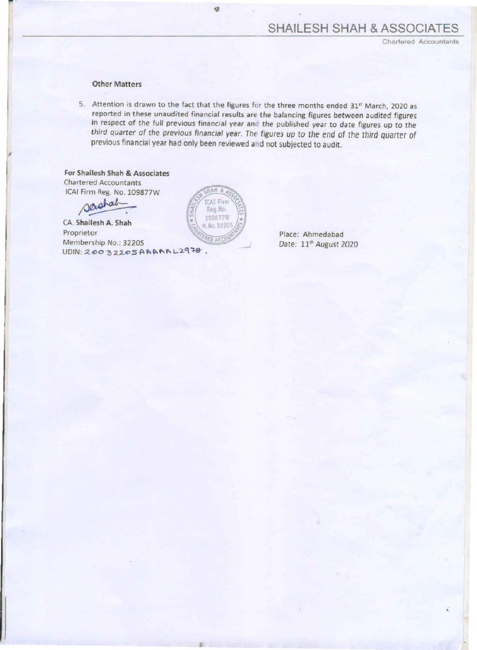Chartered Accountants

# Other Matters

5. Attention is drawn to the fact that the figures for the three months ended 31<sup>st</sup> March, 2020 as reported in these unaudited financial results are the balancing figures between audited figures in respect of the full previous financial year and the published year to date figures up to the third quarter of the previous financial year. The figures up to the end of the third Quarter of previous financial year had only been reviewed and not subjected to audit.

For Shailesh Shah & Associates Chartered Accountants ICAI Firm Reg. No. 109877W

~ A. Shah

CA. Shailesh A. Shah Proprietor Membership No.: 32205  $UDIN: 20032205 ARRARAL2978.$ 



ø

•

Place: Ahmedabad Date: 11<sup>th</sup> August 2020